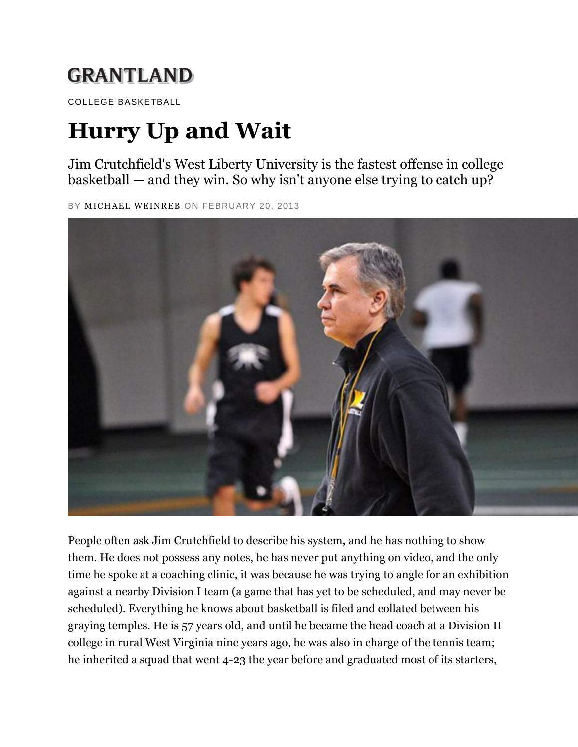## **GRANTLAND**

[COLLEGE BASKETBALL](http://grantland.com/tags/college-basketball/)

## **Hurry Up and Wait**

Jim Crutchfield's West Liberty University is the fastest offense in college basketball — and they win. So why isn't anyone else trying to catch up?

BY [MICHAEL WEINREB](http://grantland.com/contributors/michael-weinreb/) ON FEBRUARY 20, 2013



People often ask Jim Crutchfield to describe his system, and he has nothing to show them. He does not possess any notes, he has never put anything on video, and the only time he spoke at a coaching clinic, it was because he was trying to angle for an exhibition against a nearby Division I team (a game that has yet to be scheduled, and may never be scheduled). Everything he knows about basketball is filed and collated between his graying temples. He is 57 years old, and until he became the head coach at a Division II college in rural West Virginia nine years ago, he was also in charge of the tennis team; he inherited a squad that went 4-23 the year before and graduated most of its starters,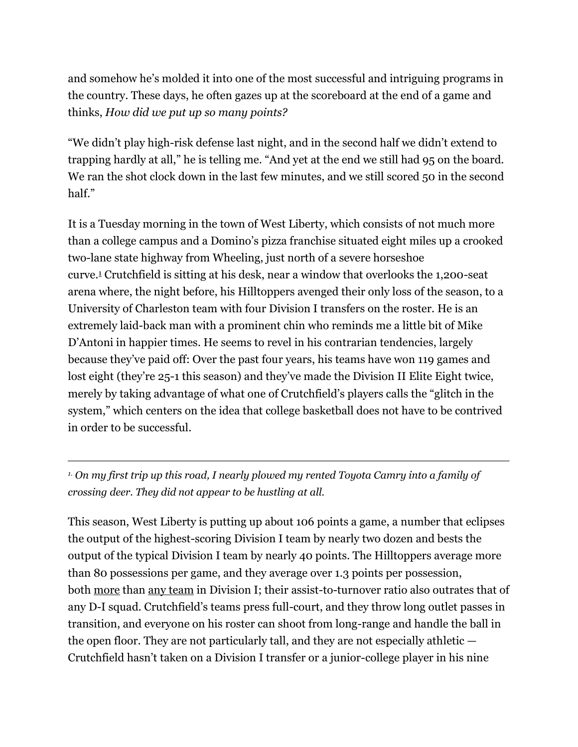and somehow he's molded it into one of the most successful and intriguing programs in the country. These days, he often gazes up at the scoreboard at the end of a game and thinks, *How did we put up so many points?*

"We didn't play high-risk defense last night, and in the second half we didn't extend to trapping hardly at all," he is telling me. "And yet at the end we still had 95 on the board. We ran the shot clock down in the last few minutes, and we still scored 50 in the second half."

It is a Tuesday morning in the town of West Liberty, which consists of not much more than a college campus and a Domino's pizza franchise situated eight miles up a crooked two-lane state highway from Wheeling, just north of a severe horseshoe curve.[1](http://grantland.com/features/college-basketball-scoring-problem-west-liberty-university-coach-jim-crutchfield/?print=1#fn-1) Crutchfield is sitting at his desk, near a window that overlooks the 1,200-seat arena where, the night before, his Hilltoppers avenged their only loss of the season, to a University of Charleston team with four Division I transfers on the roster. He is an extremely laid-back man with a prominent chin who reminds me a little bit of Mike D'Antoni in happier times. He seems to revel in his contrarian tendencies, largely because they've paid off: Over the past four years, his teams have won 119 games and lost eight (they're 25-1 this season) and they've made the Division II Elite Eight twice, merely by taking advantage of what one of Crutchfield's players calls the "glitch in the system," which centers on the idea that college basketball does not have to be contrived in order to be successful.

*1. On my first trip up this road, I nearly plowed my rented Toyota Camry into a family of crossing deer. They did not appear to be hustling at all.*

This season, West Liberty is putting up about 106 points a game, a number that eclipses the output of the highest-scoring Division I team by nearly two dozen and bests the output of the typical Division I team by nearly 40 points. The Hilltoppers average more than 80 possessions per game, and they average over 1.3 points per possession, both [more](http://www.teamrankings.com/ncaa-basketball/stat/possessions-per-game) than [any team](http://www.teamrankings.com/ncaa-basketball/stat/offensive-efficiency) in Division I; their assist-to-turnover ratio also outrates that of any D-I squad. Crutchfield's teams press full-court, and they throw long outlet passes in transition, and everyone on his roster can shoot from long-range and handle the ball in the open floor. They are not particularly tall, and they are not especially athletic — Crutchfield hasn't taken on a Division I transfer or a junior-college player in his nine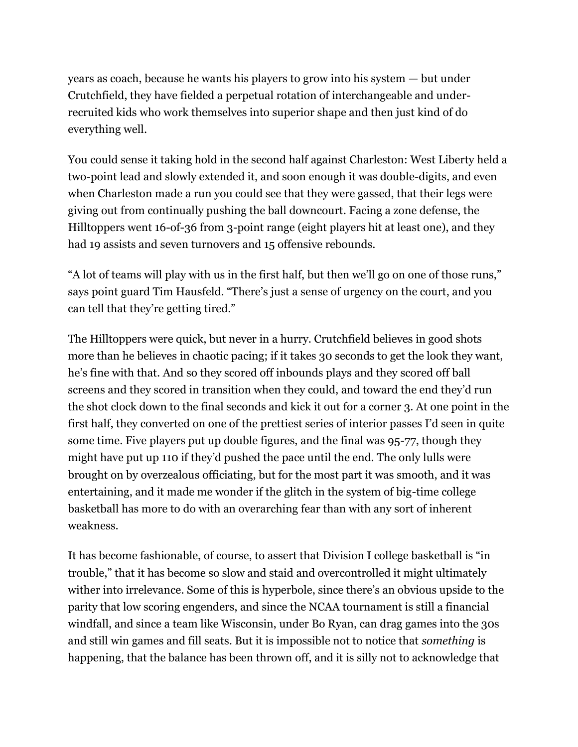years as coach, because he wants his players to grow into his system — but under Crutchfield, they have fielded a perpetual rotation of interchangeable and underrecruited kids who work themselves into superior shape and then just kind of do everything well.

You could sense it taking hold in the second half against Charleston: West Liberty held a two-point lead and slowly extended it, and soon enough it was double-digits, and even when Charleston made a run you could see that they were gassed, that their legs were giving out from continually pushing the ball downcourt. Facing a zone defense, the Hilltoppers went 16-of-36 from 3-point range (eight players hit at least one), and they had 19 assists and seven turnovers and 15 offensive rebounds.

"A lot of teams will play with us in the first half, but then we'll go on one of those runs," says point guard Tim Hausfeld. "There's just a sense of urgency on the court, and you can tell that they're getting tired."

The Hilltoppers were quick, but never in a hurry. Crutchfield believes in good shots more than he believes in chaotic pacing; if it takes 30 seconds to get the look they want, he's fine with that. And so they scored off inbounds plays and they scored off ball screens and they scored in transition when they could, and toward the end they'd run the shot clock down to the final seconds and kick it out for a corner 3. At one point in the first half, they converted on one of the prettiest series of interior passes I'd seen in quite some time. Five players put up double figures, and the final was 95-77, though they might have put up 110 if they'd pushed the pace until the end. The only lulls were brought on by overzealous officiating, but for the most part it was smooth, and it was entertaining, and it made me wonder if the glitch in the system of big-time college basketball has more to do with an overarching fear than with any sort of inherent weakness.

It has become fashionable, of course, to assert that Division I college basketball is "in trouble," that it has become so slow and staid and overcontrolled it might ultimately wither into irrelevance. Some of this is hyperbole, since there's an obvious upside to the parity that low scoring engenders, and since the NCAA tournament is still a financial windfall, and since a team like Wisconsin, under Bo Ryan, can drag games into the 30s and still win games and fill seats. But it is impossible not to notice that *something* is happening, that the balance has been thrown off, and it is silly not to acknowledge that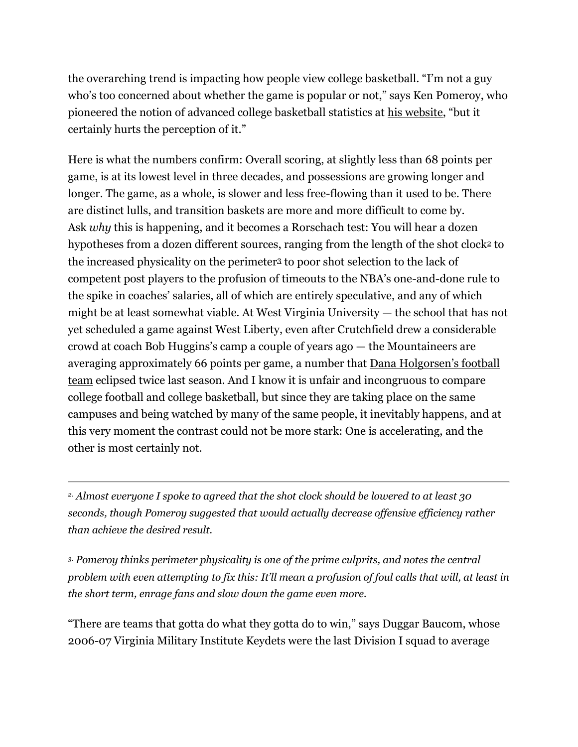the overarching trend is impacting how people view college basketball. "I'm not a guy who's too concerned about whether the game is popular or not," says Ken Pomeroy, who pioneered the notion of advanced college basketball statistics at [his website](http://kenpom.com/), "but it certainly hurts the perception of it."

Here is what the numbers confirm: Overall scoring, at slightly less than 68 points per game, is at its lowest level in three decades, and possessions are growing longer and longer. The game, as a whole, is slower and less free-flowing than it used to be. There are distinct lulls, and transition baskets are more and more difficult to come by. Ask *why* this is happening, and it becomes a Rorschach test: You will hear a dozen hypotheses from a dozen different sources, ranging from the length of the shot clock<sup>[2](http://grantland.com/features/college-basketball-scoring-problem-west-liberty-university-coach-jim-crutchfield/?print=1#fn-2)</sup> to the increased physicality on the perimeter[3](http://grantland.com/features/college-basketball-scoring-problem-west-liberty-university-coach-jim-crutchfield/?print=1#fn-3) to poor shot selection to the lack of competent post players to the profusion of timeouts to the NBA's one-and-done rule to the spike in coaches' salaries, all of which are entirely speculative, and any of which might be at least somewhat viable. At West Virginia University — the school that has not yet scheduled a game against West Liberty, even after Crutchfield drew a considerable crowd at coach Bob Huggins's camp a couple of years ago — the Mountaineers are averaging approximately 66 points per game, a number that [Dana Holgorsen's football](http://grantland.com/the-magical-realism-wvu-bearing-witness-dana-holgorsen-maniacal-mountaineer-offense)  [team](http://grantland.com/the-magical-realism-wvu-bearing-witness-dana-holgorsen-maniacal-mountaineer-offense) eclipsed twice last season. And I know it is unfair and incongruous to compare college football and college basketball, but since they are taking place on the same campuses and being watched by many of the same people, it inevitably happens, and at this very moment the contrast could not be more stark: One is accelerating, and the other is most certainly not.

*2. Almost everyone I spoke to agreed that the shot clock should be lowered to at least 30 seconds, though Pomeroy suggested that would actually decrease offensive efficiency rather than achieve the desired result.*

*3. Pomeroy thinks perimeter physicality is one of the prime culprits, and notes the central problem with even attempting to fix this: It'll mean a profusion of foul calls that will, at least in the short term, enrage fans and slow down the game even more.*

"There are teams that gotta do what they gotta do to win," says Duggar Baucom, whose 2006-07 Virginia Military Institute Keydets were the last Division I squad to average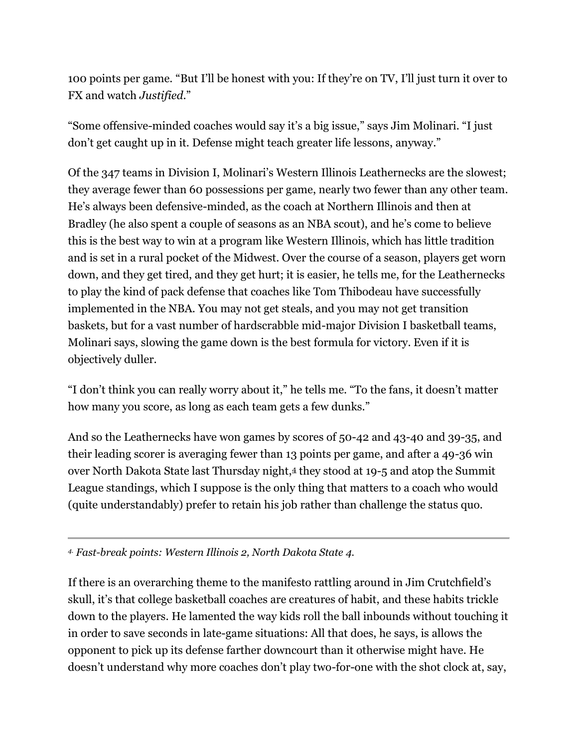100 points per game. "But I'll be honest with you: If they're on TV, I'll just turn it over to FX and watch *Justified*."

"Some offensive-minded coaches would say it's a big issue," says Jim Molinari. "I just don't get caught up in it. Defense might teach greater life lessons, anyway."

Of the 347 teams in Division I, Molinari's Western Illinois Leathernecks are the slowest; they average fewer than 60 possessions per game, nearly two fewer than any other team. He's always been defensive-minded, as the coach at Northern Illinois and then at Bradley (he also spent a couple of seasons as an NBA scout), and he's come to believe this is the best way to win at a program like Western Illinois, which has little tradition and is set in a rural pocket of the Midwest. Over the course of a season, players get worn down, and they get tired, and they get hurt; it is easier, he tells me, for the Leathernecks to play the kind of pack defense that coaches like Tom Thibodeau have successfully implemented in the NBA. You may not get steals, and you may not get transition baskets, but for a vast number of hardscrabble mid-major Division I basketball teams, Molinari says, slowing the game down is the best formula for victory. Even if it is objectively duller.

"I don't think you can really worry about it," he tells me. "To the fans, it doesn't matter how many you score, as long as each team gets a few dunks."

And so the Leathernecks have won games by scores of 50-42 and 43-40 and 39-35, and their leading scorer is averaging fewer than 13 points per game, and after a 49-36 win over North Dakota State last Thursday night,[4](http://grantland.com/features/college-basketball-scoring-problem-west-liberty-university-coach-jim-crutchfield/?print=1#fn-4) they stood at 19-5 and atop the Summit League standings, which I suppose is the only thing that matters to a coach who would (quite understandably) prefer to retain his job rather than challenge the status quo.

*4. Fast-break points: Western Illinois 2, North Dakota State 4.*

If there is an overarching theme to the manifesto rattling around in Jim Crutchfield's skull, it's that college basketball coaches are creatures of habit, and these habits trickle down to the players. He lamented the way kids roll the ball inbounds without touching it in order to save seconds in late-game situations: All that does, he says, is allows the opponent to pick up its defense farther downcourt than it otherwise might have. He doesn't understand why more coaches don't play two-for-one with the shot clock at, say,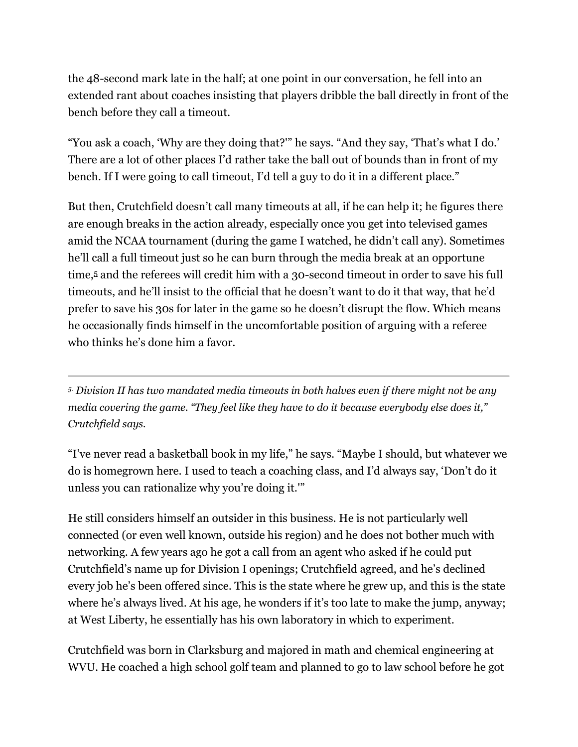the 48-second mark late in the half; at one point in our conversation, he fell into an extended rant about coaches insisting that players dribble the ball directly in front of the bench before they call a timeout.

"You ask a coach, 'Why are they doing that?'" he says. "And they say, 'That's what I do.' There are a lot of other places I'd rather take the ball out of bounds than in front of my bench. If I were going to call timeout, I'd tell a guy to do it in a different place."

But then, Crutchfield doesn't call many timeouts at all, if he can help it; he figures there are enough breaks in the action already, especially once you get into televised games amid the NCAA tournament (during the game I watched, he didn't call any). Sometimes he'll call a full timeout just so he can burn through the media break at an opportune time,[5](http://grantland.com/features/college-basketball-scoring-problem-west-liberty-university-coach-jim-crutchfield/?print=1#fn-5) and the referees will credit him with a 30-second timeout in order to save his full timeouts, and he'll insist to the official that he doesn't want to do it that way, that he'd prefer to save his 30s for later in the game so he doesn't disrupt the flow. Which means he occasionally finds himself in the uncomfortable position of arguing with a referee who thinks he's done him a favor.

*5. Division II has two mandated media timeouts in both halves even if there might not be any media covering the game. "They feel like they have to do it because everybody else does it," Crutchfield says.*

"I've never read a basketball book in my life," he says. "Maybe I should, but whatever we do is homegrown here. I used to teach a coaching class, and I'd always say, 'Don't do it unless you can rationalize why you're doing it.'"

He still considers himself an outsider in this business. He is not particularly well connected (or even well known, outside his region) and he does not bother much with networking. A few years ago he got a call from an agent who asked if he could put Crutchfield's name up for Division I openings; Crutchfield agreed, and he's declined every job he's been offered since. This is the state where he grew up, and this is the state where he's always lived. At his age, he wonders if it's too late to make the jump, anyway; at West Liberty, he essentially has his own laboratory in which to experiment.

Crutchfield was born in Clarksburg and majored in math and chemical engineering at WVU. He coached a high school golf team and planned to go to law school before he got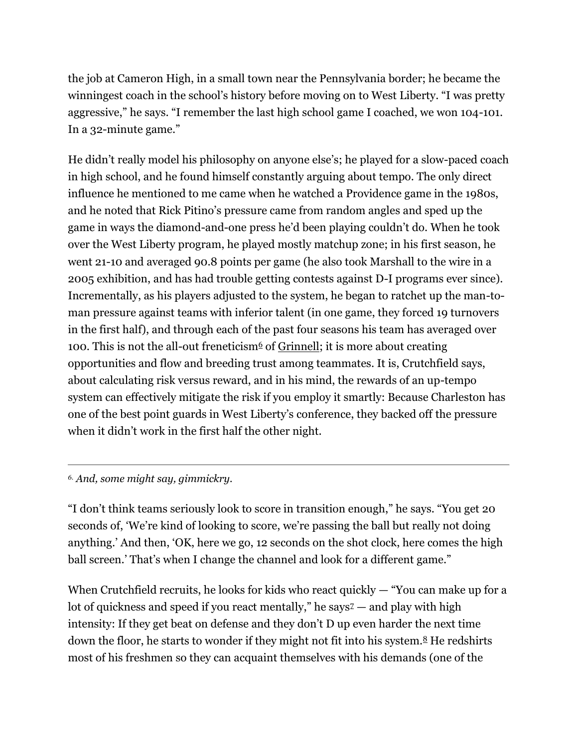the job at Cameron High, in a small town near the Pennsylvania border; he became the winningest coach in the school's history before moving on to West Liberty. "I was pretty aggressive," he says. "I remember the last high school game I coached, we won 104-101. In a 32-minute game."

He didn't really model his philosophy on anyone else's; he played for a slow-paced coach in high school, and he found himself constantly arguing about tempo. The only direct influence he mentioned to me came when he watched a Providence game in the 1980s, and he noted that Rick Pitino's pressure came from random angles and sped up the game in ways the diamond-and-one press he'd been playing couldn't do. When he took over the West Liberty program, he played mostly matchup zone; in his first season, he went 21-10 and averaged 90.8 points per game (he also took Marshall to the wire in a 2005 exhibition, and has had trouble getting contests against D-I programs ever since). Incrementally, as his players adjusted to the system, he began to ratchet up the man-toman pressure against teams with inferior talent (in one game, they forced 19 turnovers in the first half), and through each of the past four seasons his team has averaged over 100. This is not the all-out freneticism<sup>[6](http://grantland.com/features/college-basketball-scoring-problem-west-liberty-university-coach-jim-crutchfield/?print=1#fn-6)</sup> of [Grinnell;](http://grantland.com/chuck-klosterman-gregg-popovich-entertainment-sports) it is more about creating opportunities and flow and breeding trust among teammates. It is, Crutchfield says, about calculating risk versus reward, and in his mind, the rewards of an up-tempo system can effectively mitigate the risk if you employ it smartly: Because Charleston has one of the best point guards in West Liberty's conference, they backed off the pressure when it didn't work in the first half the other night.

*6. And, some might say, gimmickry.*

"I don't think teams seriously look to score in transition enough," he says. "You get 20 seconds of, 'We're kind of looking to score, we're passing the ball but really not doing anything.' And then, 'OK, here we go, 12 seconds on the shot clock, here comes the high ball screen.' That's when I change the channel and look for a different game."

When Crutchfield recruits, he looks for kids who react quickly  $-$  "You can make up for a lot of quickness and speed if you react mentally," he says $z$  — and play with high intensity: If they get beat on defense and they don't D up even harder the next time down the floor, he starts to wonder if they might not fit into his system. $8$  He redshirts most of his freshmen so they can acquaint themselves with his demands (one of the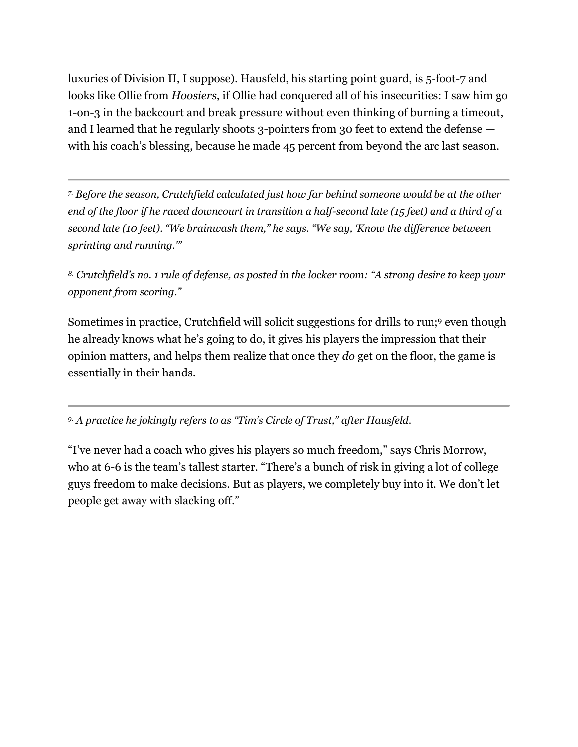luxuries of Division II, I suppose). Hausfeld, his starting point guard, is 5-foot-7 and looks like Ollie from *Hoosiers*, if Ollie had conquered all of his insecurities: I saw him go 1-on-3 in the backcourt and break pressure without even thinking of burning a timeout, and I learned that he regularly shoots 3-pointers from 30 feet to extend the defense with his coach's blessing, because he made 45 percent from beyond the arc last season.

*7. Before the season, Crutchfield calculated just how far behind someone would be at the other end of the floor if he raced downcourt in transition a half-second late (15 feet) and a third of a second late (10 feet). "We brainwash them," he says. "We say, 'Know the difference between sprinting and running.'"*

*8. Crutchfield's no. 1 rule of defense, as posted in the locker room: "A strong desire to keep your opponent from scoring."*

Sometimes in practice, Crutchfield will solicit suggestions for drills to run;<sup>[9](http://grantland.com/features/college-basketball-scoring-problem-west-liberty-university-coach-jim-crutchfield/?print=1#fn-9)</sup> even though he already knows what he's going to do, it gives his players the impression that their opinion matters, and helps them realize that once they *do* get on the floor, the game is essentially in their hands.

*9. A practice he jokingly refers to as "Tim's Circle of Trust," after Hausfeld.*

"I've never had a coach who gives his players so much freedom," says Chris Morrow, who at 6-6 is the team's tallest starter. "There's a bunch of risk in giving a lot of college guys freedom to make decisions. But as players, we completely buy into it. We don't let people get away with slacking off."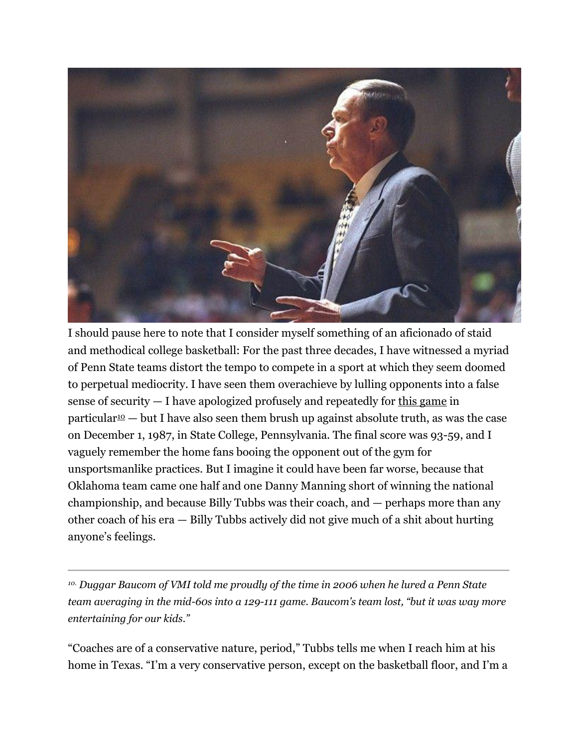

I should pause here to note that I consider myself something of an aficionado of staid and methodical college basketball: For the past three decades, I have witnessed a myriad of Penn State teams distort the tempo to compete in a sport at which they seem doomed to perpetual mediocrity. I have seen them overachieve by lulling opponents into a false sense of security — I have apologized profusely and repeatedly for [this game](http://scores.espn.go.com/ncb/recap?gameId=310700275) in particular  $\omega$  — but I have also seen them brush up against absolute truth, as was the case on December 1, 1987, in State College, Pennsylvania. The final score was 93-59, and I vaguely remember the home fans booing the opponent out of the gym for unsportsmanlike practices. But I imagine it could have been far worse, because that Oklahoma team came one half and one Danny Manning short of winning the national championship, and because Billy Tubbs was their coach, and — perhaps more than any other coach of his era — Billy Tubbs actively did not give much of a shit about hurting anyone's feelings.

*10. Duggar Baucom of VMI told me proudly of the time in 2006 when he lured a Penn State team averaging in the mid-60s into a 129-111 game. Baucom's team lost, "but it was way more entertaining for our kids."*

"Coaches are of a conservative nature, period," Tubbs tells me when I reach him at his home in Texas. "I'm a very conservative person, except on the basketball floor, and I'm a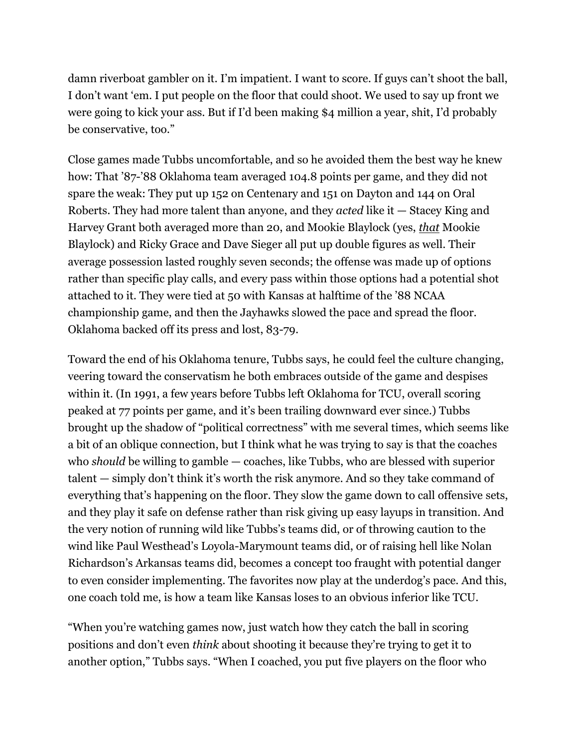damn riverboat gambler on it. I'm impatient. I want to score. If guys can't shoot the ball, I don't want 'em. I put people on the floor that could shoot. We used to say up front we were going to kick your ass. But if I'd been making \$4 million a year, shit, I'd probably be conservative, too."

Close games made Tubbs uncomfortable, and so he avoided them the best way he knew how: That '87-'88 Oklahoma team averaged 104.8 points per game, and they did not spare the weak: They put up 152 on Centenary and 151 on Dayton and 144 on Oral Roberts. They had more talent than anyone, and they *acted* like it — Stacey King and Harvey Grant both averaged more than 20, and Mookie Blaylock (yes, *[that](http://cbskroq2.files.wordpress.com/2011/05/pearl-jam.jpg?w=420)* Mookie Blaylock) and Ricky Grace and Dave Sieger all put up double figures as well. Their average possession lasted roughly seven seconds; the offense was made up of options rather than specific play calls, and every pass within those options had a potential shot attached to it. They were tied at 50 with Kansas at halftime of the '88 NCAA championship game, and then the Jayhawks slowed the pace and spread the floor. Oklahoma backed off its press and lost, 83-79.

Toward the end of his Oklahoma tenure, Tubbs says, he could feel the culture changing, veering toward the conservatism he both embraces outside of the game and despises within it. (In 1991, a few years before Tubbs left Oklahoma for TCU, overall scoring peaked at 77 points per game, and it's been trailing downward ever since.) Tubbs brought up the shadow of "political correctness" with me several times, which seems like a bit of an oblique connection, but I think what he was trying to say is that the coaches who *should* be willing to gamble — coaches, like Tubbs, who are blessed with superior talent — simply don't think it's worth the risk anymore. And so they take command of everything that's happening on the floor. They slow the game down to call offensive sets, and they play it safe on defense rather than risk giving up easy layups in transition. And the very notion of running wild like Tubbs's teams did, or of throwing caution to the wind like Paul Westhead's Loyola-Marymount teams did, or of raising hell like Nolan Richardson's Arkansas teams did, becomes a concept too fraught with potential danger to even consider implementing. The favorites now play at the underdog's pace. And this, one coach told me, is how a team like Kansas loses to an obvious inferior like TCU.

"When you're watching games now, just watch how they catch the ball in scoring positions and don't even *think* about shooting it because they're trying to get it to another option," Tubbs says. "When I coached, you put five players on the floor who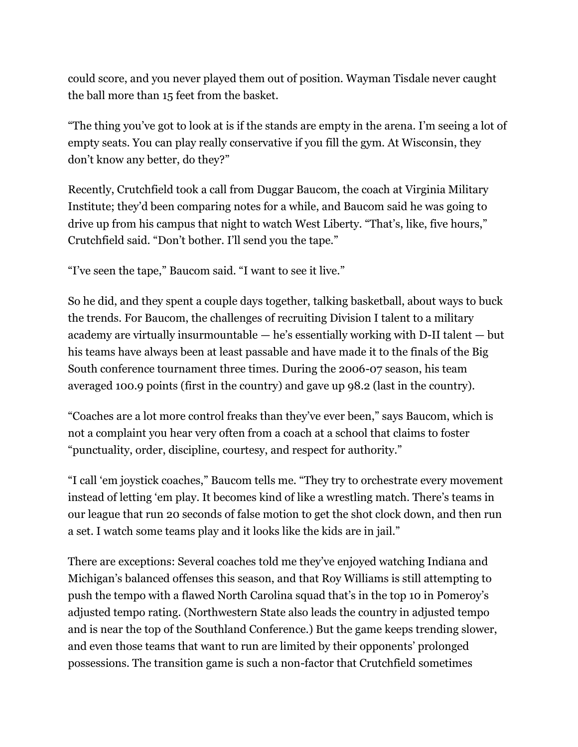could score, and you never played them out of position. Wayman Tisdale never caught the ball more than 15 feet from the basket.

"The thing you've got to look at is if the stands are empty in the arena. I'm seeing a lot of empty seats. You can play really conservative if you fill the gym. At Wisconsin, they don't know any better, do they?"

Recently, Crutchfield took a call from Duggar Baucom, the coach at Virginia Military Institute; they'd been comparing notes for a while, and Baucom said he was going to drive up from his campus that night to watch West Liberty. "That's, like, five hours," Crutchfield said. "Don't bother. I'll send you the tape."

"I've seen the tape," Baucom said. "I want to see it live."

So he did, and they spent a couple days together, talking basketball, about ways to buck the trends. For Baucom, the challenges of recruiting Division I talent to a military academy are virtually insurmountable — he's essentially working with D-II talent — but his teams have always been at least passable and have made it to the finals of the Big South conference tournament three times. During the 2006-07 season, his team averaged 100.9 points (first in the country) and gave up 98.2 (last in the country).

"Coaches are a lot more control freaks than they've ever been," says Baucom, which is not a complaint you hear very often from a coach at a school that claims to foster "punctuality, order, discipline, courtesy, and respect for authority."

"I call 'em joystick coaches," Baucom tells me. "They try to orchestrate every movement instead of letting 'em play. It becomes kind of like a wrestling match. There's teams in our league that run 20 seconds of false motion to get the shot clock down, and then run a set. I watch some teams play and it looks like the kids are in jail."

There are exceptions: Several coaches told me they've enjoyed watching Indiana and Michigan's balanced offenses this season, and that Roy Williams is still attempting to push the tempo with a flawed North Carolina squad that's in the top 10 in Pomeroy's adjusted tempo rating. (Northwestern State also leads the country in adjusted tempo and is near the top of the Southland Conference.) But the game keeps trending slower, and even those teams that want to run are limited by their opponents' prolonged possessions. The transition game is such a non-factor that Crutchfield sometimes